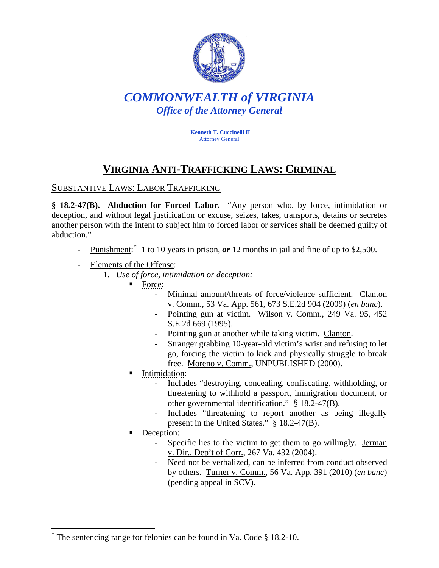

# *COMMONWEALTH of VIRGINIA Office of the Attorney General*

**Kenneth T. Cuccinelli II** Attorney General

# **VIRGINIA ANTI-TRAFFICKING LAWS: CRIMINAL**

### SUBSTANTIVE LAWS: LABOR TRAFFICKING

**§ 18.2-47(B). Abduction for Forced Labor.** "Any person who, by force, intimidation or deception, and without legal justification or excuse, seizes, takes, transports, detains or secretes another person with the intent to subject him to forced labor or services shall be deemed guilty of abduction."

- Punishment:<sup>[\\*](#page-0-0)</sup> 1 to 10 years in prison, *or* 12 months in jail and fine of up to \$2,500.
- Elements of the Offense:
	- 1. *Use of force, intimidation or deception:*
		- Force:
			- Minimal amount/threats of force/violence sufficient. Clanton v. Comm., 53 Va. App. 561, 673 S.E.2d 904 (2009) (*en banc*).
			- Pointing gun at victim. Wilson v. Comm., 249 Va. 95, 452 S.E.2d 669 (1995).
			- Pointing gun at another while taking victim. Clanton.
			- Stranger grabbing 10-year-old victim's wrist and refusing to let go, forcing the victim to kick and physically struggle to break free. Moreno v. Comm., UNPUBLISHED (2000).
		- Intimidation:
			- Includes "destroying, concealing, confiscating, withholding, or threatening to withhold a passport, immigration document, or other governmental identification." § 18.2-47(B).
			- Includes "threatening to report another as being illegally present in the United States." § 18.2-47(B).
		- Deception:

 $\overline{a}$ 

- Specific lies to the victim to get them to go willingly. Jerman v. Dir., Dep't of Corr., 267 Va. 432 (2004).
- Need not be verbalized, can be inferred from conduct observed by others. Turner v. Comm., 56 Va. App. 391 (2010) (*en banc*) (pending appeal in SCV).

<span id="page-0-0"></span><sup>\*</sup> The sentencing range for felonies can be found in Va. Code § 18.2-10.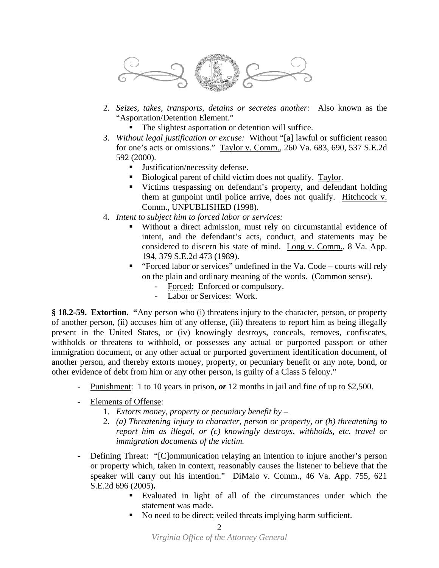

- 2. *Seizes, takes, transports, detains or secretes another:* Also known as the "Asportation/Detention Element."
	- The slightest asportation or detention will suffice.
- 3. *Without legal justification or excuse:* Without "[a] lawful or sufficient reason for one's acts or omissions." Taylor v. Comm., 260 Va. 683, 690, 537 S.E.2d 592 (2000).
	- Justification/necessity defense.
	- Biological parent of child victim does not qualify. Taylor.
	- Victims trespassing on defendant's property, and defendant holding them at gunpoint until police arrive, does not qualify. Hitchcock v. Comm., UNPUBLISHED (1998).
- 4. *Intent to subject him to forced labor or services:*
	- Without a direct admission, must rely on circumstantial evidence of intent, and the defendant's acts, conduct, and statements may be considered to discern his state of mind. Long v. Comm., 8 Va. App. 194, 379 S.E.2d 473 (1989).
	- " "Forced labor or services" undefined in the Va. Code courts will rely on the plain and ordinary meaning of the words. (Common sense).
		- Forced: Enforced or compulsory.
		- Labor or Services: Work.

**§ 18.2-59. Extortion. "**Any person who (i) threatens injury to the character, person, or property of another person, (ii) accuses him of any offense, (iii) threatens to report him as being illegally present in the United States, or (iv) knowingly destroys, conceals, removes, confiscates, withholds or threatens to withhold, or possesses any actual or purported passport or other immigration document, or any other actual or purported government identification document, of another person, and thereby extorts money, property, or pecuniary benefit or any note, bond, or other evidence of debt from him or any other person, is guilty of a Class 5 felony."

- Punishment: 1 to 10 years in prison, *or* 12 months in jail and fine of up to \$2,500.
- Elements of Offense:
	- 1. *Extorts money, property or pecuniary benefit by*
	- 2. *(a) Threatening injury to character, person or property, or (b) threatening to report him as illegal, or (c) knowingly destroys, withholds, etc. travel or immigration documents of the victim.*
- Defining Threat: "[C]ommunication relaying an intention to injure another's person or property which, taken in context, reasonably causes the listener to believe that the speaker will carry out his intention." DiMaio v. Comm., 46 Va. App. 755, 621 S.E.2d 696 (2005)**.** 
	- Evaluated in light of all of the circumstances under which the statement was made.
	- No need to be direct; veiled threats implying harm sufficient.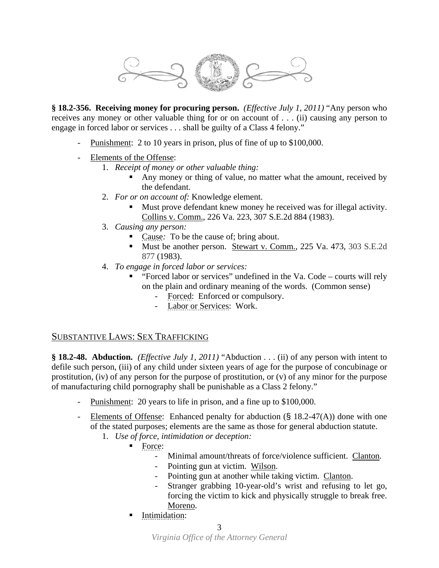

**§ 18.2-356. Receiving money for procuring person.** *(Effective July 1, 2011)* "Any person who receives any money or other valuable thing for or on account of . . . (ii) causing any person to engage in forced labor or services . . . shall be guilty of a Class 4 felony."

- Punishment: 2 to 10 years in prison, plus of fine of up to \$100,000.
- Elements of the Offense:
	- 1. *Receipt of money or other valuable thing:*
		- Any money or thing of value, no matter what the amount, received by the defendant.
	- 2. *For or on account of:* Knowledge element.
		- Must prove defendant knew money he received was for illegal activity. Collins v. Comm., 226 Va. 223, 307 S.E.2d 884 (1983).
	- 3. *Causing any person:* 
		- Cause: To be the cause of; bring about.
		- Must be another person. Stewart v. Comm., 225 Va. 473, 303 S.E.2d 877 (1983).
	- 4. *To engage in forced labor or services:*
		- "Forced labor or services" undefined in the Va. Code courts will rely on the plain and ordinary meaning of the words. (Common sense)
			- Forced: Enforced or compulsory.
			- Labor or Services: Work.

### SUBSTANTIVE LAWS: SEX TRAFFICKING

**§ 18.2-48. Abduction.** *(Effective July 1, 2011)* "Abduction . . . (ii) of any person with intent to defile such person, (iii) of any child under sixteen years of age for the purpose of concubinage or prostitution, (iv) of any person for the purpose of prostitution, or (v) of any minor for the purpose of manufacturing child pornography shall be punishable as a Class 2 felony."

- Punishment: 20 years to life in prison, and a fine up to \$100,000.
- Elements of Offense: Enhanced penalty for abduction (§ 18.2-47(A)) done with one of the stated purposes; elements are the same as those for general abduction statute.
	- 1. *Use of force, intimidation or deception:*
		- Force:
			- Minimal amount/threats of force/violence sufficient. Clanton.
			- Pointing gun at victim. Wilson.
			- Pointing gun at another while taking victim. Clanton.
			- Stranger grabbing 10-year-old's wrist and refusing to let go, forcing the victim to kick and physically struggle to break free. Moreno.
		- Intimidation: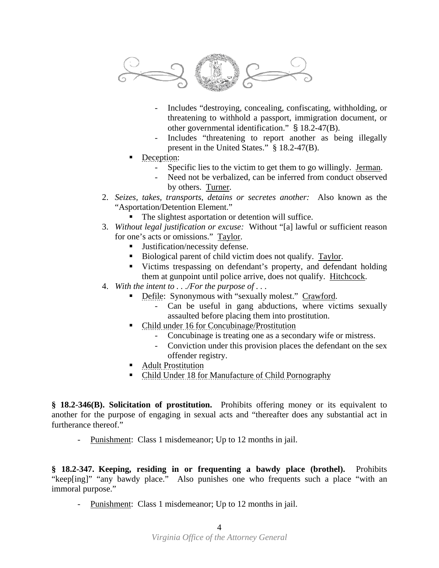

- Includes "destroying, concealing, confiscating, withholding, or threatening to withhold a passport, immigration document, or other governmental identification." § 18.2-47(B).
- Includes "threatening to report another as being illegally present in the United States." § 18.2-47(B).
- Deception:
	- Specific lies to the victim to get them to go willingly. Jerman.
	- Need not be verbalized, can be inferred from conduct observed by others. Turner.
- 2. *Seizes, takes, transports, detains or secretes another:* Also known as the "Asportation/Detention Element."
	- The slightest asportation or detention will suffice.
- 3. *Without legal justification or excuse:* Without "[a] lawful or sufficient reason for one's acts or omissions." Taylor.
	- Justification/necessity defense.
	- Biological parent of child victim does not qualify. Taylor.
	- Victims trespassing on defendant's property, and defendant holding them at gunpoint until police arrive, does not qualify. Hitchcock.
- 4. *With the intent to . . ./For the purpose of . . .* 
	- **•** Defile: Synonymous with "sexually molest." Crawford.
		- Can be useful in gang abductions, where victims sexually assaulted before placing them into prostitution.
	- Child under 16 for Concubinage/Prostitution
		- Concubinage is treating one as a secondary wife or mistress.
		- Conviction under this provision places the defendant on the sex offender registry.
	- **Adult Prostitution**
	- Child Under 18 for Manufacture of Child Pornography

**§ 18.2-346(B). Solicitation of prostitution.** Prohibits offering money or its equivalent to another for the purpose of engaging in sexual acts and "thereafter does any substantial act in furtherance thereof."

- Punishment: Class 1 misdemeanor; Up to 12 months in jail.

**§ 18.2-347. Keeping, residing in or frequenting a bawdy place (brothel).** Prohibits "keep[ing]" "any bawdy place." Also punishes one who frequents such a place "with an immoral purpose."

- Punishment: Class 1 misdemeanor; Up to 12 months in jail.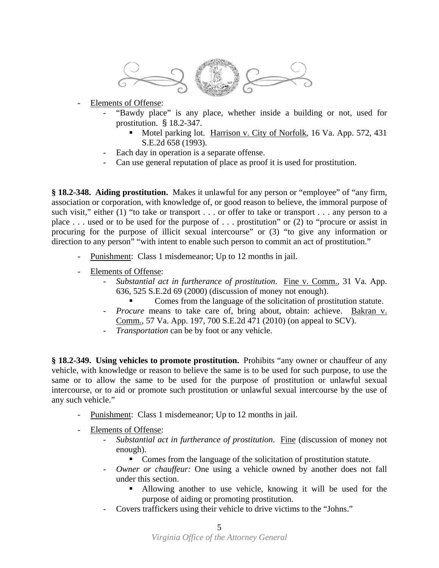

- Elements of Offense:

- "Bawdy place" is any place, whether inside a building or not, used for prostitution. § 18.2-347.
	- Motel parking lot. Harrison v. City of Norfolk, 16 Va. App. 572, 431 S.E.2d 658 (1993).
- Each day in operation is a separate offense.
- Can use general reputation of place as proof it is used for prostitution.

**§ 18.2-348. Aiding prostitution.** Makes it unlawful for any person or "employee" of "any firm, association or corporation, with knowledge of, or good reason to believe, the immoral purpose of such visit," either (1) "to take or transport . . . or offer to take or transport . . . any person to a place . . . used or to be used for the purpose of . . . prostitution" or (2) to "procure or assist in procuring for the purpose of illicit sexual intercourse" or (3) "to give any information or direction to any person" "with intent to enable such person to commit an act of prostitution."

- Punishment: Class 1 misdemeanor; Up to 12 months in jail.
- Elements of Offense:
	- *Substantial act in furtherance of prostitution*. Fine v. Comm., 31 Va. App. 636, 525 S.E.2d 69 (2000) (discussion of money not enough).
		- Comes from the language of the solicitation of prostitution statute.
	- *Procure* means to take care of, bring about, obtain: achieve. Bakran v. Comm., 57 Va. App. 197, 700 S.E.2d 471 (2010) (on appeal to SCV).
	- *Transportation* can be by foot or any vehicle.

**§ 18.2-349. Using vehicles to promote prostitution.** Prohibits "any owner or chauffeur of any vehicle, with knowledge or reason to believe the same is to be used for such purpose, to use the same or to allow the same to be used for the purpose of prostitution or unlawful sexual intercourse, or to aid or promote such prostitution or unlawful sexual intercourse by the use of any such vehicle."

- Punishment: Class 1 misdemeanor; Up to 12 months in jail.
- Elements of Offense:
	- *Substantial act in furtherance of prostitution*. Fine (discussion of money not enough).
		- Comes from the language of the solicitation of prostitution statute.
	- Owner or chauffeur: One using a vehicle owned by another does not fall under this section.
		- Allowing another to use vehicle, knowing it will be used for the purpose of aiding or promoting prostitution.
	- Covers traffickers using their vehicle to drive victims to the "Johns."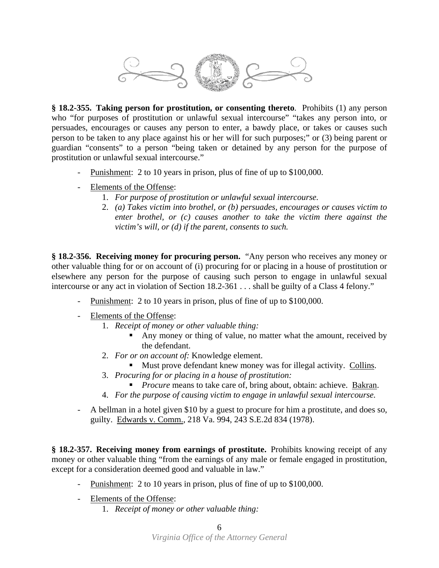

**§ 18.2-355. Taking person for prostitution, or consenting thereto**. Prohibits (1) any person who "for purposes of prostitution or unlawful sexual intercourse" "takes any person into, or persuades, encourages or causes any person to enter, a bawdy place, or takes or causes such person to be taken to any place against his or her will for such purposes;" or (3) being parent or guardian "consents" to a person "being taken or detained by any person for the purpose of prostitution or unlawful sexual intercourse."

- Punishment: 2 to 10 years in prison, plus of fine of up to \$100,000.
- Elements of the Offense:
	- 1. *For purpose of prostitution or unlawful sexual intercourse.*
	- 2. *(a) Takes victim into brothel, or (b) persuades, encourages or causes victim to enter brothel, or (c) causes another to take the victim there against the victim's will, or (d) if the parent, consents to such.*

**§ 18.2-356. Receiving money for procuring person.** "Any person who receives any money or other valuable thing for or on account of (i) procuring for or placing in a house of prostitution or elsewhere any person for the purpose of causing such person to engage in unlawful sexual intercourse or any act in violation of Section 18.2-361 . . . shall be guilty of a Class 4 felony."

- Punishment: 2 to 10 years in prison, plus of fine of up to \$100,000.
- Elements of the Offense:
	- 1. *Receipt of money or other valuable thing:*
		- Any money or thing of value, no matter what the amount, received by the defendant.
	- 2. *For or on account of:* Knowledge element.
		- Must prove defendant knew money was for illegal activity. Collins.
	- 3. *Procuring for or placing in a house of prostitution:* 
		- **Procure** means to take care of, bring about, obtain: achieve. Bakran.
	- 4. *For the purpose of causing victim to engage in unlawful sexual intercourse.*
- A bellman in a hotel given \$10 by a guest to procure for him a prostitute, and does so, guilty. Edwards v. Comm., 218 Va. 994, 243 S.E.2d 834 (1978).

**§ 18.2-357. Receiving money from earnings of prostitute.** Prohibits knowing receipt of any money or other valuable thing "from the earnings of any male or female engaged in prostitution, except for a consideration deemed good and valuable in law."

- Punishment: 2 to 10 years in prison, plus of fine of up to \$100,000.
- Elements of the Offense:
	- 1. *Receipt of money or other valuable thing:*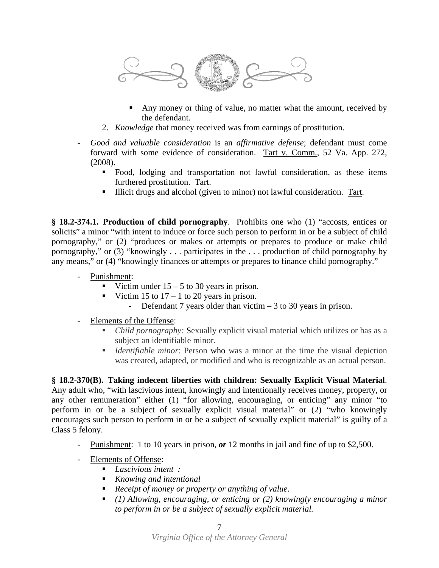

- Any money or thing of value, no matter what the amount, received by the defendant.
- 2. *Knowledge* that money received was from earnings of prostitution.
- *Good and valuable consideration* is an *affirmative defense*; defendant must come forward with some evidence of consideration. Tart v. Comm., 52 Va. App. 272, (2008).
	- Food, lodging and transportation not lawful consideration, as these items furthered prostitution. Tart.
	- Illicit drugs and alcohol (given to minor) not lawful consideration. Tart.

**§ 18.2-374.1. Production of child pornography**. Prohibits one who (1) "accosts, entices or solicits" a minor "with intent to induce or force such person to perform in or be a subject of child pornography," or (2) "produces or makes or attempts or prepares to produce or make child pornography," or (3) "knowingly . . . participates in the . . . production of child pornography by any means," or (4) "knowingly finances or attempts or prepares to finance child pornography."

- Punishment:
	- Victim under  $15 5$  to 30 years in prison.
	- Victim 15 to  $17 1$  to 20 years in prison.
		- Defendant 7 years older than victim 3 to 30 years in prison.
- Elements of the Offense:
	- *Child pornography:* Sexually explicit visual material which utilizes or has as a subject an identifiable minor.
	- *Identifiable minor*: Person who was a minor at the time the visual depiction was created, adapted, or modified and who is recognizable as an actual person.

**§ 18.2-370(B). Taking indecent liberties with children: Sexually Explicit Visual Material**. Any adult who, "with lascivious intent, knowingly and intentionally receives money, property, or any other remuneration" either (1) "for allowing, encouraging, or enticing" any minor "to perform in or be a subject of sexually explicit visual material" or (2) "who knowingly encourages such person to perform in or be a subject of sexually explicit material" is guilty of a Class 5 felony.

- Punishment: 1 to 10 years in prison, *or* 12 months in jail and fine of up to \$2,500.
- Elements of Offense:
	- *Lascivious intent :*
	- *Knowing and intentional*
	- *Receipt of money or property or anything of value*.
	- *(1) Allowing, encouraging, or enticing or (2) knowingly encouraging a minor to perform in or be a subject of sexually explicit material.*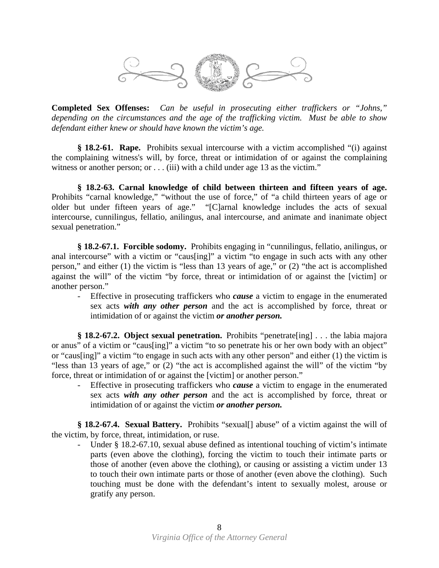

**Completed Sex Offenses:** *Can be useful in prosecuting either traffickers or "Johns," depending on the circumstances and the age of the trafficking victim. Must be able to show defendant either knew or should have known the victim's age.*

**§ 18.2-61. Rape.** Prohibits sexual intercourse with a victim accomplished "(i) against the complaining witness's will, by force, threat or intimidation of or against the complaining witness or another person; or  $\dots$  (iii) with a child under age 13 as the victim."

**§ 18.2-63. Carnal knowledge of child between thirteen and fifteen years of age.**  Prohibits "carnal knowledge," "without the use of force," of "a child thirteen years of age or older but under fifteen years of age." "[C]arnal knowledge includes the acts of sexual intercourse, cunnilingus, fellatio, anilingus, anal intercourse, and animate and inanimate object sexual penetration."

**§ 18.2-67.1. Forcible sodomy.** Prohibits engaging in "cunnilingus, fellatio, anilingus, or anal intercourse" with a victim or "caus[ing]" a victim "to engage in such acts with any other person," and either (1) the victim is "less than 13 years of age," or (2) "the act is accomplished against the will" of the victim "by force, threat or intimidation of or against the [victim] or another person."

- Effective in prosecuting traffickers who *cause* a victim to engage in the enumerated sex acts *with any other person* and the act is accomplished by force, threat or intimidation of or against the victim *or another person.*

**§ 18.2-67.2. Object sexual penetration.** Prohibits "penetrate[ing] . . . the labia majora or anus" of a victim or "caus[ing]" a victim "to so penetrate his or her own body with an object" or "caus[ing]" a victim "to engage in such acts with any other person" and either (1) the victim is "less than 13 years of age," or (2) "the act is accomplished against the will" of the victim "by force, threat or intimidation of or against the [victim] or another person."

- Effective in prosecuting traffickers who *cause* a victim to engage in the enumerated sex acts *with any other person* and the act is accomplished by force, threat or intimidation of or against the victim *or another person.*

**§ 18.2-67.4. Sexual Battery.** Prohibits "sexual[] abuse" of a victim against the will of the victim, by force, threat, intimidation, or ruse.

- Under § 18.2-67.10, sexual abuse defined as intentional touching of victim's intimate parts (even above the clothing), forcing the victim to touch their intimate parts or those of another (even above the clothing), or causing or assisting a victim under 13 to touch their own intimate parts or those of another (even above the clothing). Such touching must be done with the defendant's intent to sexually molest, arouse or gratify any person.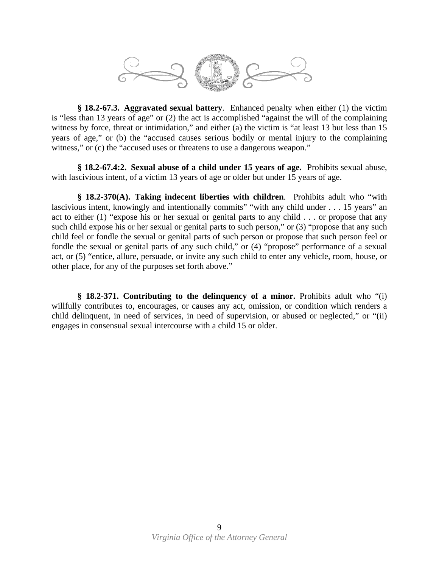

**§ 18.2-67.3. Aggravated sexual battery**. Enhanced penalty when either (1) the victim is "less than 13 years of age" or (2) the act is accomplished "against the will of the complaining witness by force, threat or intimidation," and either (a) the victim is "at least 13 but less than 15 years of age," or (b) the "accused causes serious bodily or mental injury to the complaining witness," or (c) the "accused uses or threatens to use a dangerous weapon."

**§ 18.2-67.4:2. Sexual abuse of a child under 15 years of age.** Prohibits sexual abuse, with lascivious intent, of a victim 13 years of age or older but under 15 years of age.

**§ 18.2-370(A). Taking indecent liberties with children**. Prohibits adult who "with lascivious intent, knowingly and intentionally commits" "with any child under . . . 15 years" an act to either (1) "expose his or her sexual or genital parts to any child . . . or propose that any such child expose his or her sexual or genital parts to such person," or (3) "propose that any such child feel or fondle the sexual or genital parts of such person or propose that such person feel or fondle the sexual or genital parts of any such child," or (4) "propose" performance of a sexual act, or (5) "entice, allure, persuade, or invite any such child to enter any vehicle, room, house, or other place, for any of the purposes set forth above."

**§ 18.2-371. Contributing to the delinquency of a minor.** Prohibits adult who "(i) willfully contributes to, encourages, or causes any act, omission, or condition which renders a child delinquent, in need of services, in need of supervision, or abused or neglected," or "(ii) engages in consensual sexual intercourse with a child 15 or older.